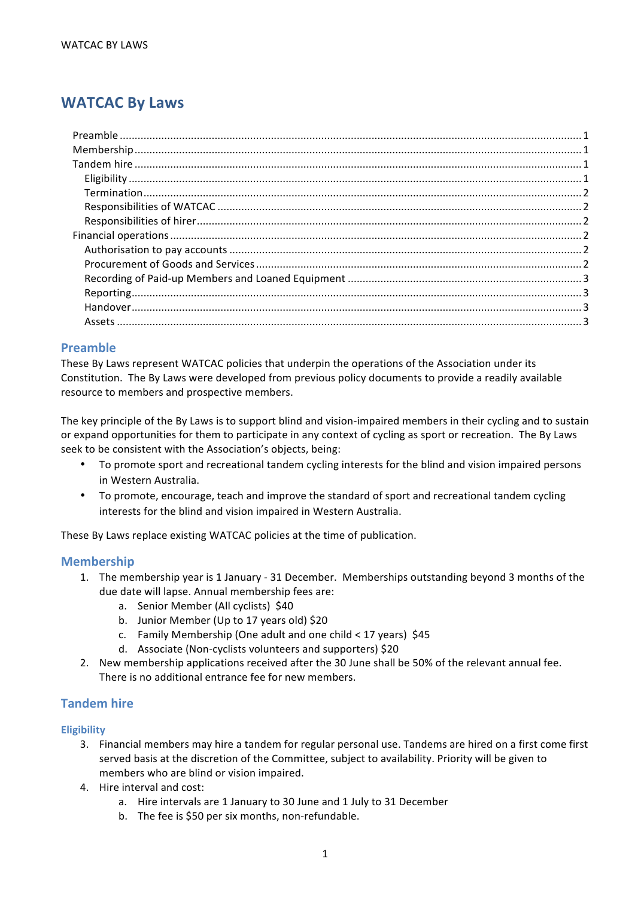# **WATCAC By Laws**

# **Preamble**

These By Laws represent WATCAC policies that underpin the operations of the Association under its Constitution. The By Laws were developed from previous policy documents to provide a readily available resource to members and prospective members.

The key principle of the By Laws is to support blind and vision-impaired members in their cycling and to sustain or expand opportunities for them to participate in any context of cycling as sport or recreation. The By Laws seek to be consistent with the Association's objects, being:

- To promote sport and recreational tandem cycling interests for the blind and vision impaired persons in Western Australia.
- To promote, encourage, teach and improve the standard of sport and recreational tandem cycling interests for the blind and vision impaired in Western Australia.

These By Laws replace existing WATCAC policies at the time of publication.

# **Membership**

- 1. The membership year is 1 January 31 December. Memberships outstanding beyond 3 months of the due date will lapse. Annual membership fees are:
	- a. Senior Member (All cyclists) \$40
	- b. Junior Member (Up to 17 years old) \$20
	- c. Family Membership (One adult and one child  $\lt$  17 years) \$45
	- d. Associate (Non-cyclists volunteers and supporters) \$20
- 2. New membership applications received after the 30 June shall be 50% of the relevant annual fee. There is no additional entrance fee for new members.

# **Tandem hire**

# **Eligibility**

- 3. Financial members may hire a tandem for regular personal use. Tandems are hired on a first come first served basis at the discretion of the Committee, subject to availability. Priority will be given to members who are blind or vision impaired.
- 4. Hire interval and cost:
	- a. Hire intervals are 1 January to 30 June and 1 July to 31 December
	- b. The fee is \$50 per six months, non-refundable.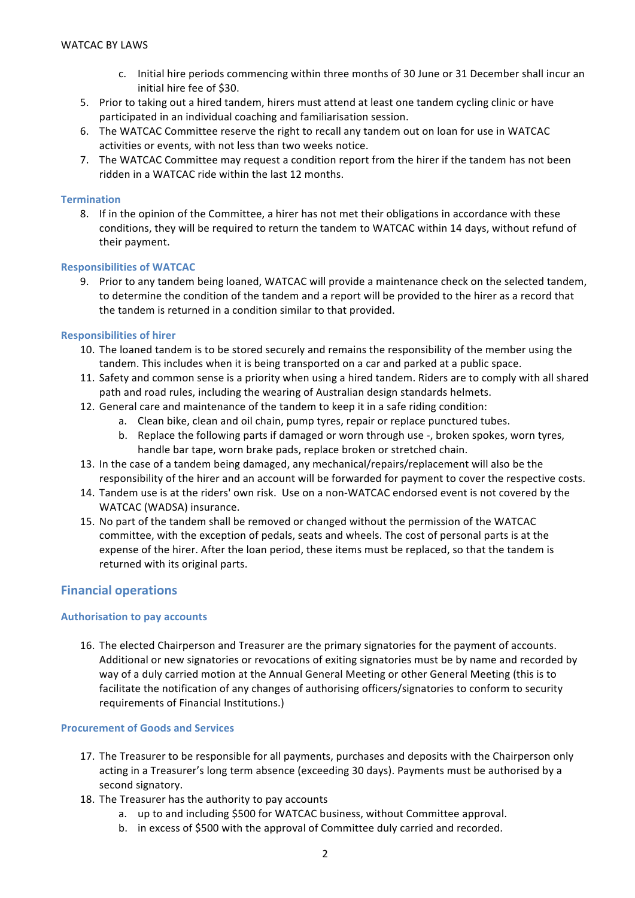- c. Initial hire periods commencing within three months of 30 June or 31 December shall incur an initial hire fee of \$30.
- 5. Prior to taking out a hired tandem, hirers must attend at least one tandem cycling clinic or have participated in an individual coaching and familiarisation session.
- 6. The WATCAC Committee reserve the right to recall any tandem out on loan for use in WATCAC activities or events, with not less than two weeks notice.
- 7. The WATCAC Committee may request a condition report from the hirer if the tandem has not been ridden in a WATCAC ride within the last 12 months.

## **Termination**

8. If in the opinion of the Committee, a hirer has not met their obligations in accordance with these conditions, they will be required to return the tandem to WATCAC within 14 days, without refund of their payment.

#### **Responsibilities of WATCAC**

9. Prior to any tandem being loaned, WATCAC will provide a maintenance check on the selected tandem, to determine the condition of the tandem and a report will be provided to the hirer as a record that the tandem is returned in a condition similar to that provided.

#### **Responsibilities of hirer**

- 10. The loaned tandem is to be stored securely and remains the responsibility of the member using the tandem. This includes when it is being transported on a car and parked at a public space.
- 11. Safety and common sense is a priority when using a hired tandem. Riders are to comply with all shared path and road rules, including the wearing of Australian design standards helmets.
- 12. General care and maintenance of the tandem to keep it in a safe riding condition:
	- a. Clean bike, clean and oil chain, pump tyres, repair or replace punctured tubes.
	- b. Replace the following parts if damaged or worn through use -, broken spokes, worn tyres, handle bar tape, worn brake pads, replace broken or stretched chain.
- 13. In the case of a tandem being damaged, any mechanical/repairs/replacement will also be the responsibility of the hirer and an account will be forwarded for payment to cover the respective costs.
- 14. Tandem use is at the riders' own risk. Use on a non-WATCAC endorsed event is not covered by the WATCAC (WADSA) insurance.
- 15. No part of the tandem shall be removed or changed without the permission of the WATCAC committee, with the exception of pedals, seats and wheels. The cost of personal parts is at the expense of the hirer. After the loan period, these items must be replaced, so that the tandem is returned with its original parts.

# **Financial operations**

#### **Authorisation to pay accounts**

16. The elected Chairperson and Treasurer are the primary signatories for the payment of accounts. Additional or new signatories or revocations of exiting signatories must be by name and recorded by way of a duly carried motion at the Annual General Meeting or other General Meeting (this is to facilitate the notification of any changes of authorising officers/signatories to conform to security requirements of Financial Institutions.)

#### **Procurement of Goods and Services**

- 17. The Treasurer to be responsible for all payments, purchases and deposits with the Chairperson only acting in a Treasurer's long term absence (exceeding 30 days). Payments must be authorised by a second signatory.
- 18. The Treasurer has the authority to pay accounts
	- a. up to and including \$500 for WATCAC business, without Committee approval.
	- b. in excess of \$500 with the approval of Committee duly carried and recorded.